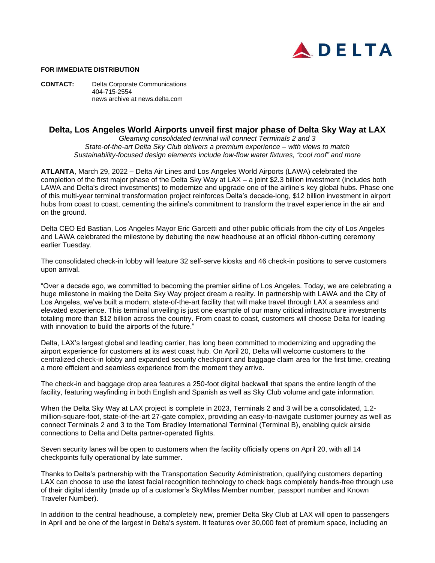

## **FOR IMMEDIATE DISTRIBUTION**

**CONTACT:** Delta Corporate Communications 404-715-2554 news archive at news.delta.com

## **Delta, Los Angeles World Airports unveil first major phase of Delta Sky Way at LAX**

*Gleaming consolidated terminal will connect Terminals 2 and 3 State-of-the-art Delta Sky Club delivers a premium experience – with views to match Sustainability-focused design elements include low-flow water fixtures, "cool roof" and more*

**ATLANTA**, March 29, 2022 – Delta Air Lines and Los Angeles World Airports (LAWA) celebrated the completion of the first major phase of the Delta Sky Way at LAX – a joint \$2.3 billion investment (includes both LAWA and Delta's direct investments) to modernize and upgrade one of the airline's key global hubs. Phase one of this multi-year terminal transformation project reinforces Delta's decade-long, \$12 billion investment in airport hubs from coast to coast, cementing the airline's commitment to transform the travel experience in the air and on the ground.

Delta CEO Ed Bastian, Los Angeles Mayor Eric Garcetti and other public officials from the city of Los Angeles and LAWA celebrated the milestone by debuting the new headhouse at an official ribbon-cutting ceremony earlier Tuesday.

The consolidated check-in lobby will feature 32 self-serve kiosks and 46 check-in positions to serve customers upon arrival.

"Over a decade ago, we committed to becoming the premier airline of Los Angeles. Today, we are celebrating a huge milestone in making the Delta Sky Way project dream a reality. In partnership with LAWA and the City of Los Angeles, we've built a modern, state-of-the-art facility that will make travel through LAX a seamless and elevated experience. This terminal unveiling is just one example of our many critical infrastructure investments totaling more than \$12 billion across the country. From coast to coast, customers will choose Delta for leading with innovation to build the airports of the future."

Delta, LAX's largest global and leading carrier, has long been committed to modernizing and upgrading the airport experience for customers at its west coast hub. On April 20, Delta will welcome customers to the centralized check-in lobby and expanded security checkpoint and baggage claim area for the first time, creating a more efficient and seamless experience from the moment they arrive.

The check-in and baggage drop area features a 250-foot digital backwall that spans the entire length of the facility, featuring wayfinding in both English and Spanish as well as Sky Club volume and gate information.

When the Delta Sky Way at LAX project is complete in 2023, Terminals 2 and 3 will be a consolidated, 1.2million-square-foot, state-of-the-art 27-gate complex, providing an easy-to-navigate customer journey as well as connect Terminals 2 and 3 to the Tom Bradley International Terminal (Terminal B), enabling quick airside connections to Delta and Delta partner-operated flights.

Seven security lanes will be open to customers when the facility officially opens on April 20, with all 14 checkpoints fully operational by late summer.

Thanks to Delta's partnership with the Transportation Security Administration, qualifying customers departing LAX can choose to use the latest facial recognition technology to check bags completely hands-free through use of their digital identity (made up of a customer's SkyMiles Member number, passport number and Known Traveler Number).

In addition to the central headhouse, a completely new, premier Delta Sky Club at LAX will open to passengers in April and be one of the largest in Delta's system. It features over 30,000 feet of premium space, including an